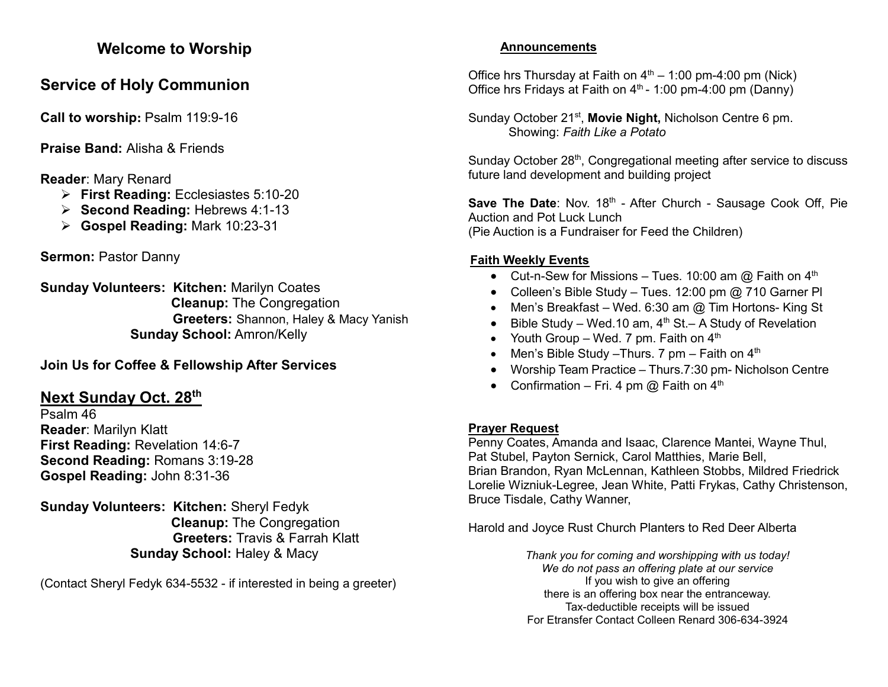# **Welcome to Worship**

# **Service of Holy Communion**

**Call to worship: Psalm 119:9-16** 

**Praise Band:** Alisha & Friends

# **Reader**: Mary Renard

- ➢ **First Reading:** Ecclesiastes 5:10-20
- ➢ **Second Reading:** Hebrews 4:1-13
- ➢ **Gospel Reading:** Mark 10:23-31

**Sermon:** Pastor Danny

**Sunday Volunteers: Kitchen:** Marilyn Coates **Cleanup:** The Congregation **Greeters:** Shannon, Haley & Macy Yanish **Sunday School:** Amron/Kelly

### **Join Us for Coffee & Fellowship After Services**

## **Next Sunday Oct. 28 th**

Psalm 46 **Reader**: Marilyn Klatt **First Reading:** Revelation 14:6-7 **Second Reading:** Romans 3:19-28 **Gospel Reading:** John 8:31-36

**Sunday Volunteers: Kitchen:** Sheryl Fedyk **Cleanup:** The Congregation **Greeters:** Travis & Farrah Klatt **Sunday School:** Haley & Macy

(Contact Sheryl Fedyk 634-5532 - if interested in being a greeter)

#### **Announcements**

Office hrs Thursday at Faith on  $4<sup>th</sup> - 1:00$  pm-4:00 pm (Nick) Office hrs Fridays at Faith on  $4<sup>th</sup>$  - 1:00 pm-4:00 pm (Danny)

Sunday October 21<sup>st</sup>, Movie Night, Nicholson Centre 6 pm. Showing: *Faith Like a Potato*

Sunday October 28<sup>th</sup>, Congregational meeting after service to discuss future land development and building project

Save The Date: Nov. 18<sup>th</sup> - After Church - Sausage Cook Off, Pie Auction and Pot Luck Lunch (Pie Auction is a Fundraiser for Feed the Children)

### **Faith Weekly Events**

- Cut-n-Sew for Missions Tues. 10:00 am  $\omega$  Faith on 4<sup>th</sup>
- Colleen's Bible Study Tues. 12:00 pm @ 710 Garner Pl
- Men's Breakfast Wed. 6:30 am @ Tim Hortons- King St
- Bible Study Wed.10 am,  $4<sup>th</sup>$  St.– A Study of Revelation
- Youth Group Wed. 7 pm. Faith on  $4<sup>th</sup>$
- Men's Bible Study Thurs. 7 pm Faith on  $4<sup>th</sup>$
- Worship Team Practice Thurs.7:30 pm- Nicholson Centre
- Confirmation Fri. 4 pm  $@$  Faith on  $4<sup>th</sup>$

#### **Prayer Request**

Penny Coates, Amanda and Isaac, Clarence Mantei, Wayne Thul, Pat Stubel, Payton Sernick, Carol Matthies, Marie Bell, Brian Brandon, Ryan McLennan, Kathleen Stobbs, Mildred Friedrick Lorelie Wizniuk-Legree, Jean White, Patti Frykas, Cathy Christenson, Bruce Tisdale, Cathy Wanner,

Harold and Joyce Rust Church Planters to Red Deer Alberta

*Thank you for coming and worshipping with us today! We do not pass an offering plate at our service* If you wish to give an offering there is an offering box near the entranceway. Tax-deductible receipts will be issued For Etransfer Contact Colleen Renard 306-634-3924